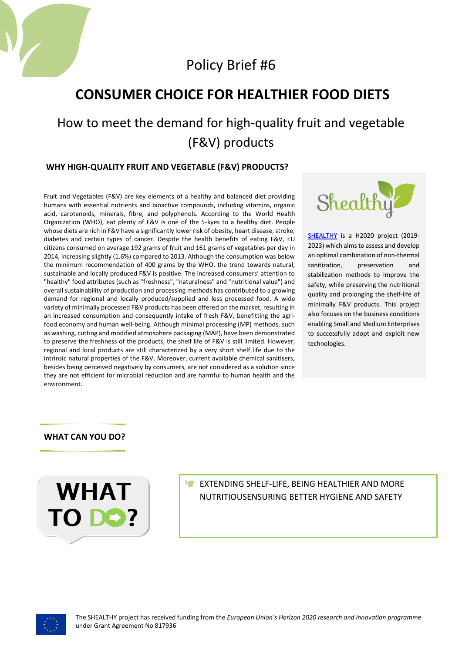

Policy Brief #6

## **CONSUMER CHOICE FOR HEALTHIER FOOD DIETS**

# How to meet the demand for high-quality fruit and vegetable (F&V) products

### **WHY HIGH-QUALITY FRUIT AND VEGETABLE (F&V) PRODUCTS?**

Fruit and Vegetables (F&V) are key elements of a healthy and balanced diet providing humans with essential nutrients and bioactive compounds, including vitamins, organic acid, carotenoids, minerals, fibre, and polyphenols. According to the World Health Organization (WHO), eat plenty of F&V is one of the 5-kyes to a healthy diet. People whose diets are rich in F&V have a significantly lower risk of obesity, heart disease, stroke, diabetes and certain types of cancer. Despite the health benefits of eating F&V, EU citizens consumed on average 192 grams of fruit and 161 grams of vegetables per day in 2014, increasing slightly (1.6%) compared to 2013. Although the consumption was below the minimum recommendation of 400 grams by the WHO, the trend towards natural, sustainable and locally produced F&V is positive. The increased consumers' attention to "healthy" food attributes (such as "freshness", "naturalness" and "nutritional value") and overall sustainability of production and processing methods has contributed to a growing demand for regional and locally produced/supplied and less processed food. A wide variety of minimally processed F&V products has been offered on the market, resulting in an increased consumption and consequently intake of fresh F&V, benefitting the agrifood economy and human well-being. Although minimal processing (MP) methods, such as washing, cutting and modified atmosphere packaging (MAP), have been demonstrated to preserve the freshness of the products, the shelf life of F&V is still limited. However, regional and local products are still characterized by a very short shelf life due to the intrinsic natural properties of the F&V. Moreover, current available chemical sanitisers, besides being perceived negatively by consumers, are not considered as a solution since they are not efficient for microbial reduction and are harmful to human health and the environment.



[SHEALTHY](http://www.shealthy.eu/) is a H2020 project (2019- 2023) which aims to assess and develop an optimal combination of non-thermal sanitization, preservation and stabilization methods to improve the safety, while preserving the nutritional quality and prolonging the shelf-life of minimally F&V products. This project also focuses on the business conditions enabling Small and Medium Enterprises to successfully adopt and exploit new technologies.

## **WHAT CAN YOU DO?**



**EXTENDING SHELF-LIFE, BEING HEALTHIER AND MORE** NUTRITIOUSENSURING BETTER HYGIENE AND SAFETY